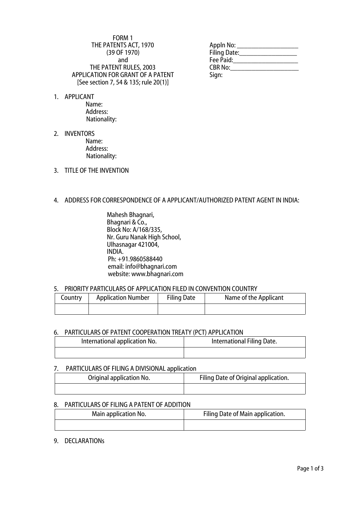### FORM 1 THE PATENTS ACT, 1970 (39 OF 1970) and THE PATENT RULES, 2003 APPLICATION FOR GRANT OF A PATENT [See section 7, 54 & 135; rule 20(1)]

1. APPLICANT

Name: Address: Nationality:

- 2. INVENTORS Name: Address: Nationality:
- 3. TITLE OF THE INVENTION

## 4. ADDRESS FOR CORRESPONDENCE OF A APPLICANT/AUTHORIZED PATENT AGENT IN INDIA:

Mahesh Bhagnari, Bhagnari & Co., Block No: A/168/335, Nr. Guru Nanak High School, Ulhasnagar 421004, INDIA. Ph: +91.9860588440 email: [info@bhagnari.com](mailto:info@bhagnari.com) website: www.bhagnari.com

# 5. PRIORITY PARTICULARS OF APPLICATION FILED IN CONVENTION COUNTRY

| Country | <b>Application Number</b> | <b>Filing Date</b> | Name of the Applicant |
|---------|---------------------------|--------------------|-----------------------|
|         |                           |                    |                       |

### 6. PARTICULARS OF PATENT COOPERATION TREATY (PCT) APPLICATION

| International application No. | International Filing Date. |
|-------------------------------|----------------------------|
|                               |                            |

## 7. PARTICULARS OF FILING A DIVISIONAL application

| Original application No. | Filing Date of Original application. |
|--------------------------|--------------------------------------|
|                          |                                      |

## 8. PARTICULARS OF FILING A PATENT OF ADDITION

| Main application No. | Filing Date of Main application. |
|----------------------|----------------------------------|
|                      |                                  |

### 9. DECLARATIONs

| Appln No:      |  |
|----------------|--|
| Filing Date:   |  |
| Fee Paid:      |  |
| <b>CBR No:</b> |  |
| Sign:          |  |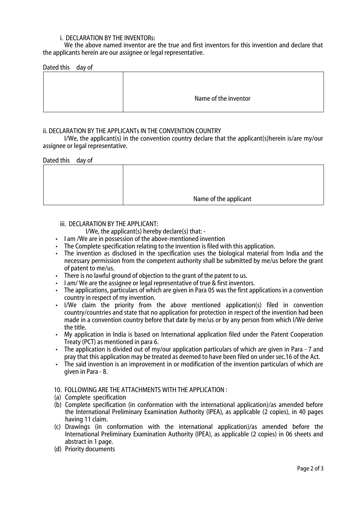## i. DECLARATION BY THE INVENTORs:

We the above named inventor are the true and first inventors for this invention and declare that the applicants herein are our assignee or legal representative.

| Dated this day of |                      |
|-------------------|----------------------|
|                   |                      |
|                   |                      |
|                   |                      |
|                   | Name of the inventor |
|                   |                      |

### **ii. DECLARATION BY THE APPLICANTS IN THE CONVENTION COUNTRY**

I/We, the applicant(s) in the convention country declare that the applicant(s)herein is/are my/our assignee or legal representative.

#### Dated this day of

| Name of the applicant |
|-----------------------|

#### iii. DECLARATION BY THE APPLICANT:

- I/We, the applicant(s) hereby declare(s) that: -
- I am /We are in possession of the above-mentioned invention
- The Complete specification relating to the invention is filed with this application.
- The invention as disclosed in the specification uses the biological material from India and the necessary permission from the competent authority shall be submitted by me/us before the grant of patent to me/us.
- There is no lawful ground of objection to the grant of the patent to us.
- I am/ We are the assignee or legal representative of true & first inventors.
- The applications, particulars of which are given in Para 05 was the first applications in a convention country in respect of my invention.
- I/We claim the priority from the above mentioned application(s) filed in convention country/countries and state that no application for protection in respect of the invention had been made in a convention country before that date by me/us or by any person from which I/We derive the title.
- My application in India is based on International application filed under the Patent Cooperation Treaty (PCT) as mentioned in para 6.
- The application is divided out of my/our application particulars of which are given in Para 7 and pray that this application may be treated as deemed to have been filed on under sec.16 of the Act.
- The said invention is an improvement in or modification of the invention particulars of which are given in Para - 8.
- 10. FOLLOWING ARE THE ATTACHMENTS WITH THE APPLICATION :
- (a) Complete specification
- (b) Complete specification (in conformation with the international application)/as amended before the International Preliminary Examination Authority (IPEA), as applicable (2 copies), in 40 pages having 11 claim.
- (c) Drawings (in conformation with the international application)/as amended before the International Preliminary Examination Authority (IPEA), as applicable (2 copies) in 06 sheets and abstract in 1 page.
- (d) Priority documents